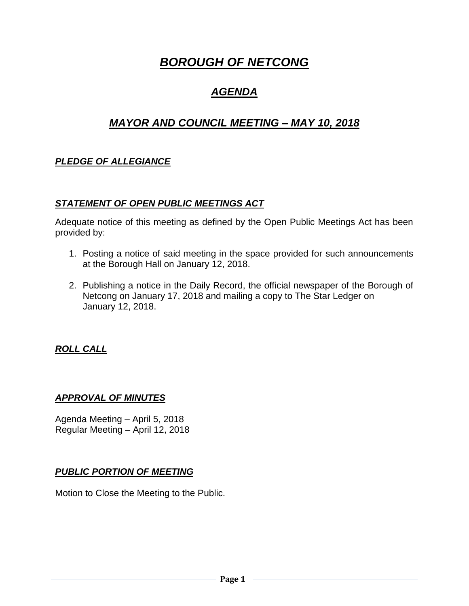# *BOROUGH OF NETCONG*

## *AGENDA*

## *MAYOR AND COUNCIL MEETING – MAY 10, 2018*

## *PLEDGE OF ALLEGIANCE*

#### *STATEMENT OF OPEN PUBLIC MEETINGS ACT*

Adequate notice of this meeting as defined by the Open Public Meetings Act has been provided by:

- 1. Posting a notice of said meeting in the space provided for such announcements at the Borough Hall on January 12, 2018.
- 2. Publishing a notice in the Daily Record, the official newspaper of the Borough of Netcong on January 17, 2018 and mailing a copy to The Star Ledger on January 12, 2018.

#### *ROLL CALL*

#### *APPROVAL OF MINUTES*

Agenda Meeting – April 5, 2018 Regular Meeting – April 12, 2018

#### *PUBLIC PORTION OF MEETING*

Motion to Close the Meeting to the Public.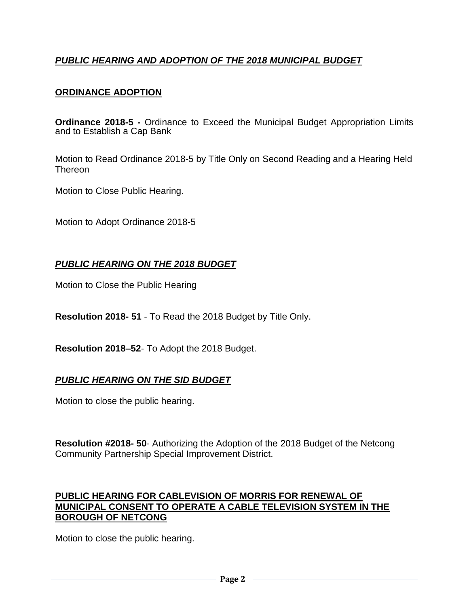## *PUBLIC HEARING AND ADOPTION OF THE 2018 MUNICIPAL BUDGET*

### **ORDINANCE ADOPTION**

**Ordinance 2018-5 -** Ordinance to Exceed the Municipal Budget Appropriation Limits and to Establish a Cap Bank

Motion to Read Ordinance 2018-5 by Title Only on Second Reading and a Hearing Held **Thereon** 

Motion to Close Public Hearing.

Motion to Adopt Ordinance 2018-5

### *PUBLIC HEARING ON THE 2018 BUDGET*

Motion to Close the Public Hearing

**Resolution 2018- 51** - To Read the 2018 Budget by Title Only.

**Resolution 2018–52**- To Adopt the 2018 Budget.

#### *PUBLIC HEARING ON THE SID BUDGET*

Motion to close the public hearing.

**Resolution #2018- 50**- Authorizing the Adoption of the 2018 Budget of the Netcong Community Partnership Special Improvement District.

#### **PUBLIC HEARING FOR CABLEVISION OF MORRIS FOR RENEWAL OF MUNICIPAL CONSENT TO OPERATE A CABLE TELEVISION SYSTEM IN THE BOROUGH OF NETCONG**

Motion to close the public hearing.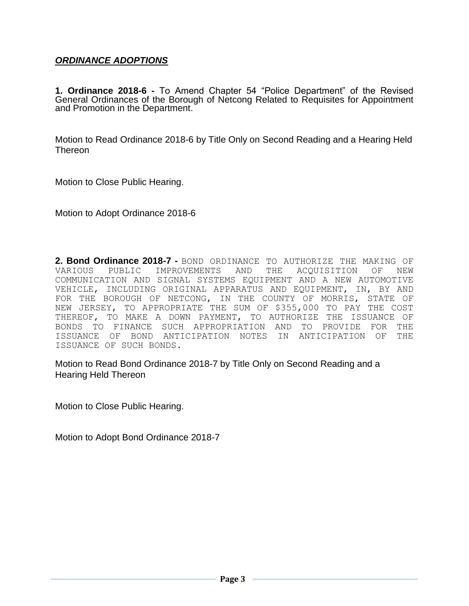#### *ORDINANCE ADOPTIONS*

**1. Ordinance 2018-6 -** To Amend Chapter 54 "Police Department" of the Revised General Ordinances of the Borough of Netcong Related to Requisites for Appointment and Promotion in the Department.

Motion to Read Ordinance 2018-6 by Title Only on Second Reading and a Hearing Held **Thereon** 

Motion to Close Public Hearing.

Motion to Adopt Ordinance 2018-6

**2. Bond Ordinance 2018-7 -** BOND ORDINANCE TO AUTHORIZE THE MAKING OF VARIOUS PUBLIC IMPROVEMENTS AND THE ACQUISITION OF NEW COMMUNICATION AND SIGNAL SYSTEMS EQUIPMENT AND A NEW AUTOMOTIVE VEHICLE, INCLUDING ORIGINAL APPARATUS AND EQUIPMENT, IN, BY AND FOR THE BOROUGH OF NETCONG, IN THE COUNTY OF MORRIS, STATE OF NEW JERSEY, TO APPROPRIATE THE SUM OF \$355,000 TO PAY THE COST THEREOF, TO MAKE A DOWN PAYMENT, TO AUTHORIZE THE ISSUANCE OF BONDS TO FINANCE SUCH APPROPRIATION AND TO PROVIDE FOR THE ISSUANCE OF BOND ANTICIPATION NOTES IN ANTICIPATION OF THE ISSUANCE OF SUCH BONDS.

Motion to Read Bond Ordinance 2018-7 by Title Only on Second Reading and a Hearing Held Thereon

Motion to Close Public Hearing.

Motion to Adopt Bond Ordinance 2018-7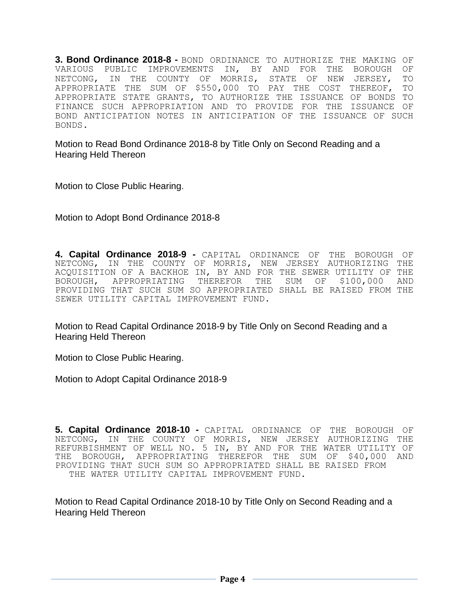**3. Bond Ordinance 2018-8 -** BOND ORDINANCE TO AUTHORIZE THE MAKING OF VARIOUS PUBLIC IMPROVEMENTS IN, BY AND FOR THE BOROUGH OF NETCONG, IN THE COUNTY OF MORRIS, STATE OF NEW JERSEY, TO APPROPRIATE THE SUM OF \$550,000 TO PAY THE COST THEREOF, TO APPROPRIATE STATE GRANTS, TO AUTHORIZE THE ISSUANCE OF BONDS TO FINANCE SUCH APPROPRIATION AND TO PROVIDE FOR THE ISSUANCE OF BOND ANTICIPATION NOTES IN ANTICIPATION OF THE ISSUANCE OF SUCH BONDS.

Motion to Read Bond Ordinance 2018-8 by Title Only on Second Reading and a Hearing Held Thereon

Motion to Close Public Hearing.

Motion to Adopt Bond Ordinance 2018-8

**4. Capital Ordinance 2018-9 -** CAPITAL ORDINANCE OF THE BOROUGH OF NETCONG, IN THE COUNTY OF MORRIS, NEW JERSEY AUTHORIZING THE ACQUISITION OF A BACKHOE IN, BY AND FOR THE SEWER UTILITY OF THE BOROUGH, APPROPRIATING THEREFOR THE SUM OF \$100,000 AND PROVIDING THAT SUCH SUM SO APPROPRIATED SHALL BE RAISED FROM THE SEWER UTILITY CAPITAL IMPROVEMENT FUND.

Motion to Read Capital Ordinance 2018-9 by Title Only on Second Reading and a Hearing Held Thereon

Motion to Close Public Hearing.

Motion to Adopt Capital Ordinance 2018-9

**5. Capital Ordinance 2018-10 -** CAPITAL ORDINANCE OF THE BOROUGH OF NETCONG, IN THE COUNTY OF MORRIS, NEW JERSEY AUTHORIZING THE REFURBISHMENT OF WELL NO. 5 IN, BY AND FOR THE WATER UTILITY OF THE BOROUGH, APPROPRIATING THEREFOR THE SUM OF \$40,000 AND PROVIDING THAT SUCH SUM SO APPROPRIATED SHALL BE RAISED FROM THE WATER UTILITY CAPITAL IMPROVEMENT FUND.

Motion to Read Capital Ordinance 2018-10 by Title Only on Second Reading and a Hearing Held Thereon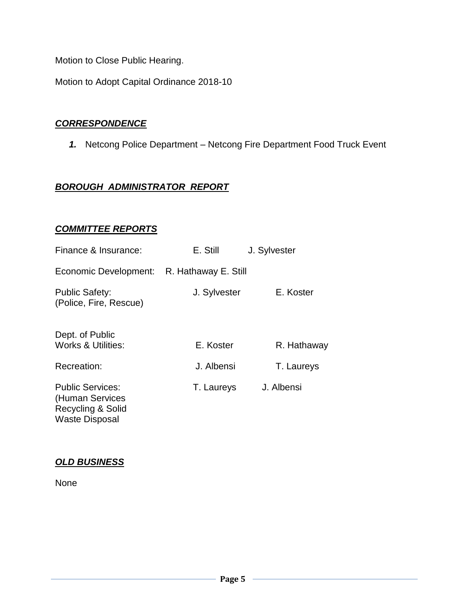Motion to Close Public Hearing.

Motion to Adopt Capital Ordinance 2018-10

#### *CORRESPONDENCE*

*1.* Netcong Police Department – Netcong Fire Department Food Truck Event

## *BOROUGH ADMINISTRATOR REPORT*

## *COMMITTEE REPORTS*

| Finance & Insurance:                                                                     | E. Still     | J. Sylvester |
|------------------------------------------------------------------------------------------|--------------|--------------|
| Economic Development: R. Hathaway E. Still                                               |              |              |
| <b>Public Safety:</b><br>(Police, Fire, Rescue)                                          | J. Sylvester | E. Koster    |
| Dept. of Public<br><b>Works &amp; Utilities:</b>                                         | E. Koster    | R. Hathaway  |
| Recreation:                                                                              | J. Albensi   | T. Laureys   |
| <b>Public Services:</b><br>(Human Services<br>Recycling & Solid<br><b>Waste Disposal</b> | T. Laureys   | J. Albensi   |

## *OLD BUSINESS*

None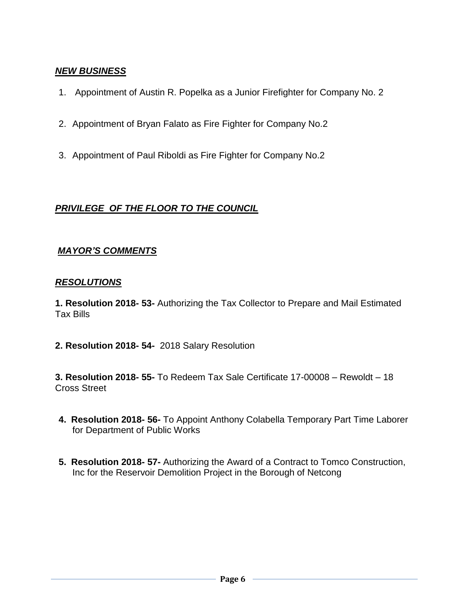### *NEW BUSINESS*

- 1. Appointment of Austin R. Popelka as a Junior Firefighter for Company No. 2
- 2. Appointment of Bryan Falato as Fire Fighter for Company No.2
- 3. Appointment of Paul Riboldi as Fire Fighter for Company No.2

### *PRIVILEGE OF THE FLOOR TO THE COUNCIL*

#### *MAYOR'S COMMENTS*

#### *RESOLUTIONS*

**1. Resolution 2018- 53-** Authorizing the Tax Collector to Prepare and Mail Estimated Tax Bills

**2. Resolution 2018- 54-** 2018 Salary Resolution

**3. Resolution 2018- 55-** To Redeem Tax Sale Certificate 17-00008 – Rewoldt – 18 Cross Street

- **4. Resolution 2018- 56-** To Appoint Anthony Colabella Temporary Part Time Laborer for Department of Public Works
- **5. Resolution 2018- 57-** Authorizing the Award of a Contract to Tomco Construction, Inc for the Reservoir Demolition Project in the Borough of Netcong